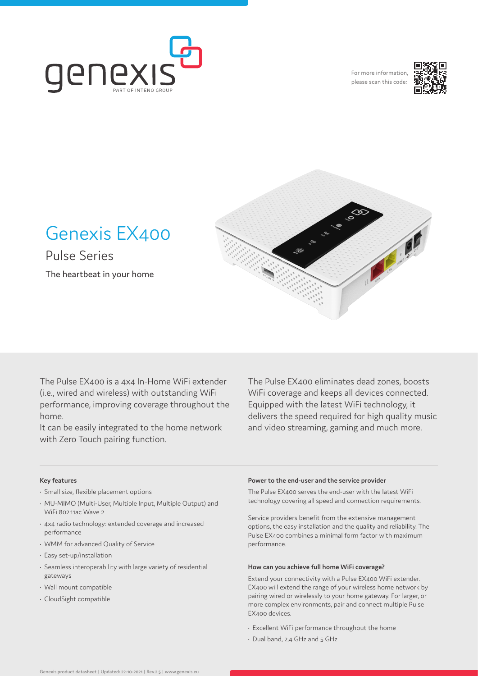

For more information please scan this code:





Genexis EX400

Pulse Series The heartbeat in your home

The Pulse EX400 is a 4x4 In-Home WiFi extender (i.e., wired and wireless) with outstanding WiFi performance, improving coverage throughout the home.

It can be easily integrated to the home network with Zero Touch pairing function.

The Pulse EX400 eliminates dead zones, boosts WiFi coverage and keeps all devices connected. Equipped with the latest WiFi technology, it delivers the speed required for high quality music and video streaming, gaming and much more.

## **Key features**

- Small size, flexible placement options
- MU-MIMO (Multi-User, Multiple Input, Multiple Output) and WiFi 802.11ac Wave 2
- 4x4 radio technology: extended coverage and increased performance
- WMM for advanced Quality of Service
- Easy set-up/installation
- Seamless interoperability with large variety of residential gateways
- Wall mount compatible
- CloudSight compatible

#### **Power to the end-user and the service provider**

The Pulse EX400 serves the end-user with the latest WiFi technology covering all speed and connection requirements.

Service providers benefit from the extensive management options, the easy installation and the quality and reliability. The Pulse EX400 combines a minimal form factor with maximum performance.

#### **How can you achieve full home WiFi coverage?**

Extend your connectivity with a Pulse EX400 WiFi extender. EX400 will extend the range of your wireless home network by pairing wired or wirelessly to your home gateway. For larger, or more complex environments, pair and connect multiple Pulse EX400 devices.

- Excellent WiFi performance throughout the home
- Dual band, 2,4 GHz and 5 GHz